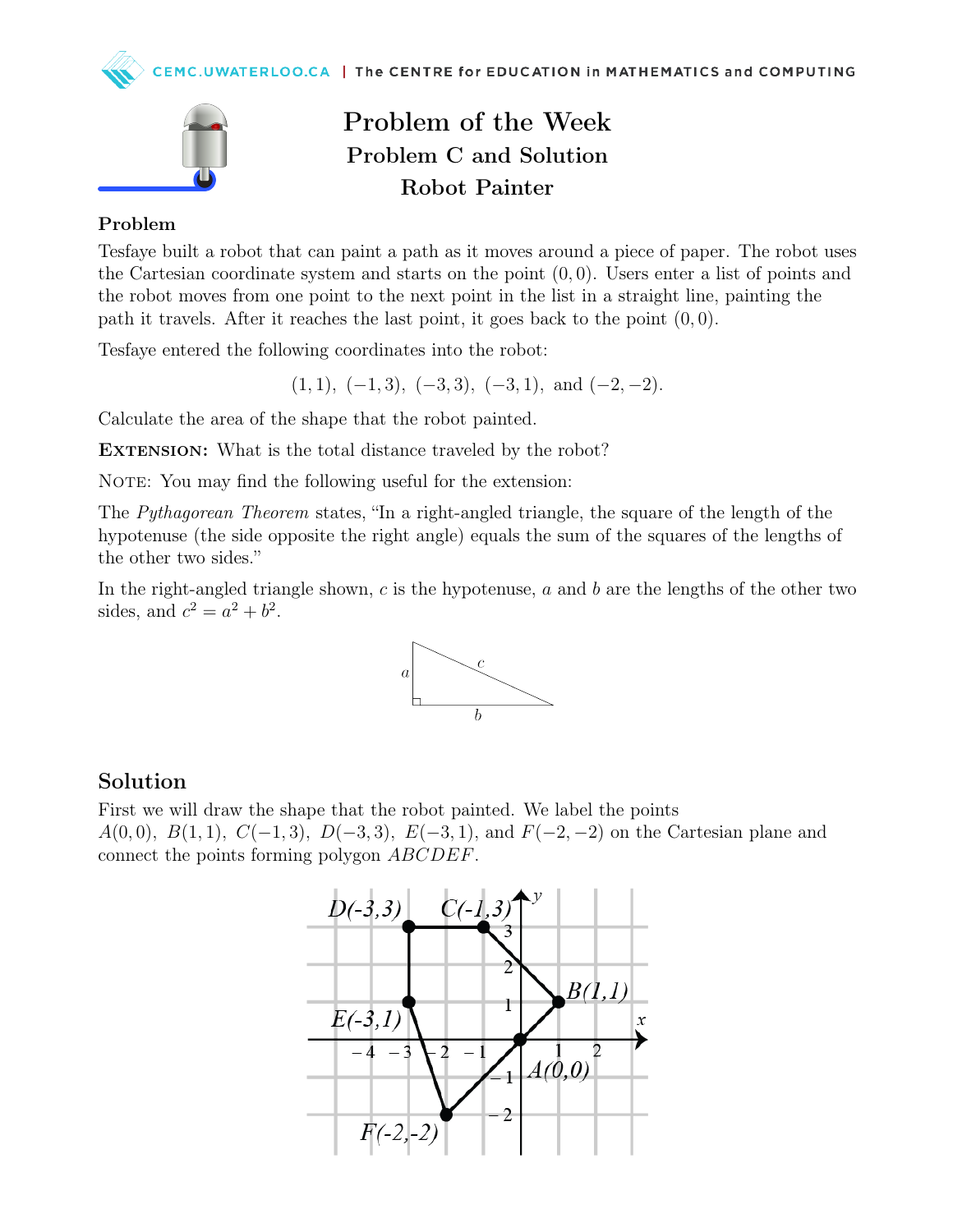



## Problem of the Week Problem C and Solution Robot Painter

#### Problem

Tesfaye built a robot that can paint a path as it moves around a piece of paper. The robot uses the Cartesian coordinate system and starts on the point  $(0, 0)$ . Users enter a list of points and the robot moves from one point to the next point in the list in a straight line, painting the path it travels. After it reaches the last point, it goes back to the point  $(0, 0)$ .

Tesfaye entered the following coordinates into the robot:

 $(1, 1), (-1, 3), (-3, 3), (-3, 1), \text{ and } (-2, -2).$ 

Calculate the area of the shape that the robot painted.

EXTENSION: What is the total distance traveled by the robot?

NOTE: You may find the following useful for the extension:

The Pythagorean Theorem states, "In a right-angled triangle, the square of the length of the hypotenuse (the side opposite the right angle) equals the sum of the squares of the lengths of the other two sides."

In the right-angled triangle shown,  $c$  is the hypotenuse,  $a$  and  $b$  are the lengths of the other two sides, and  $c^2 = a^2 + b^2$ .



#### Solution

First we will draw the shape that the robot painted. We label the points  $A(0,0), B(1,1), C(-1,3), D(-3,3), E(-3,1), \text{ and } F(-2,-2) \text{ on the Cartesian plane and}$ connect the points forming polygon ABCDEF.

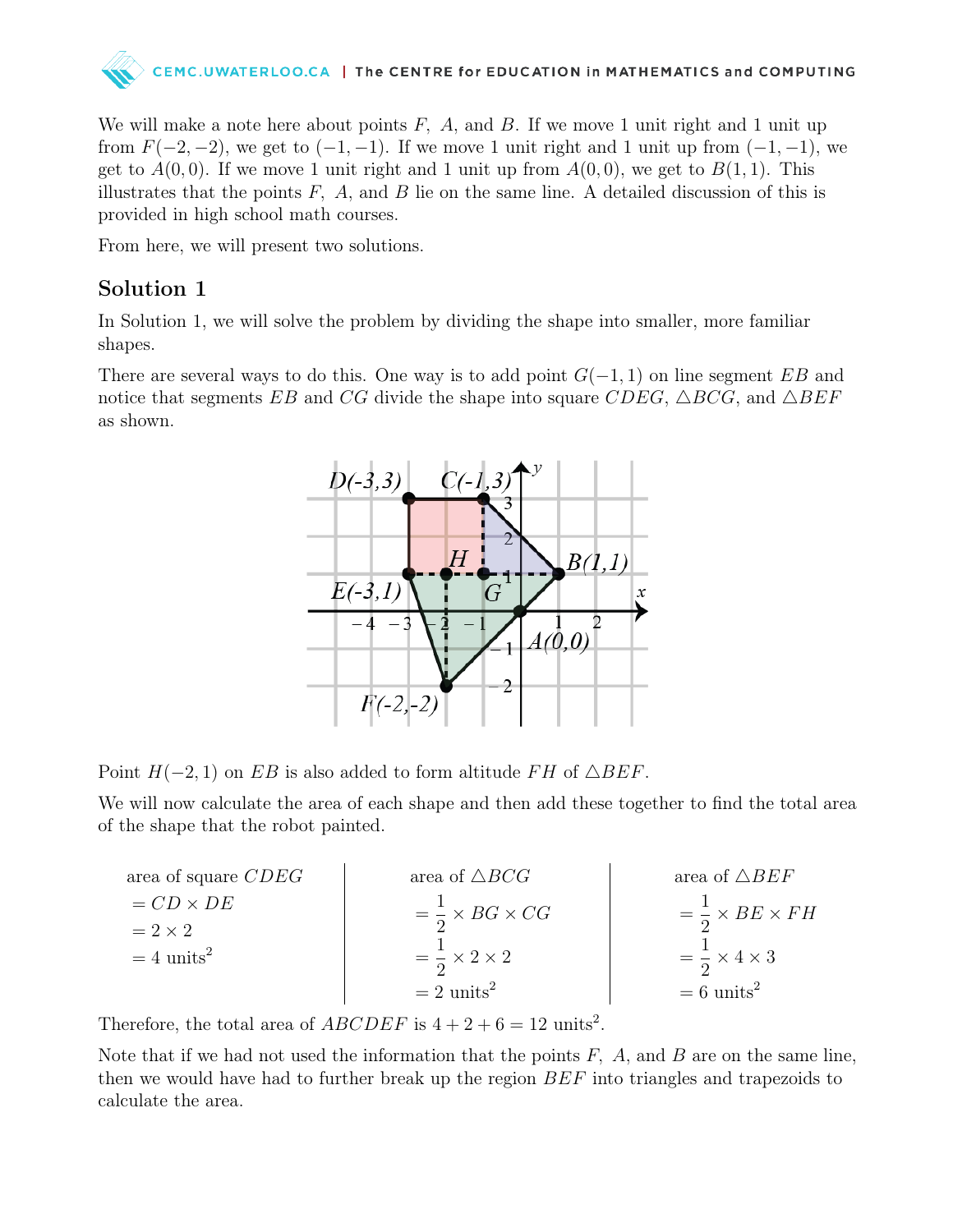

We will make a note here about points  $F$ ,  $A$ , and  $B$ . If we move 1 unit right and 1 unit up from  $F(-2, -2)$ , we get to  $(-1, -1)$ . If we move 1 unit right and 1 unit up from  $(-1, -1)$ , we get to  $A(0,0)$ . If we move 1 unit right and 1 unit up from  $A(0,0)$ , we get to  $B(1,1)$ . This illustrates that the points  $F$ ,  $A$ , and  $B$  lie on the same line. A detailed discussion of this is provided in high school math courses.

From here, we will present two solutions.

#### Solution 1

In Solution 1, we will solve the problem by dividing the shape into smaller, more familiar shapes.

There are several ways to do this. One way is to add point  $G(-1, 1)$  on line segment EB and notice that segments EB and CG divide the shape into square CDEG,  $\triangle BCG$ , and  $\triangle BEF$ as shown.



Point  $H(-2, 1)$  on EB is also added to form altitude FH of  $\triangle DEF$ .

We will now calculate the area of each shape and then add these together to find the total area of the shape that the robot painted.

area of square *CDEG*  
\n
$$
= CD \times DE
$$
\n
$$
= 2 \times 2
$$
\n
$$
= 4 \text{ units}^2
$$
\n
$$
= 2 \text{ units}^2
$$
\n
$$
= 2 \text{ units}^2
$$
\n
$$
= 2 \text{ units}^2
$$
\n
$$
= 2 \text{ units}^2
$$
\n
$$
= 6 \text{ units}^2
$$
\n
$$
= 6 \text{ units}^2
$$

Therefore, the total area of  $ABCDEF$  is  $4 + 2 + 6 = 12$  units<sup>2</sup>.

Note that if we had not used the information that the points  $F$ ,  $A$ , and  $B$  are on the same line, then we would have had to further break up the region BEF into triangles and trapezoids to calculate the area.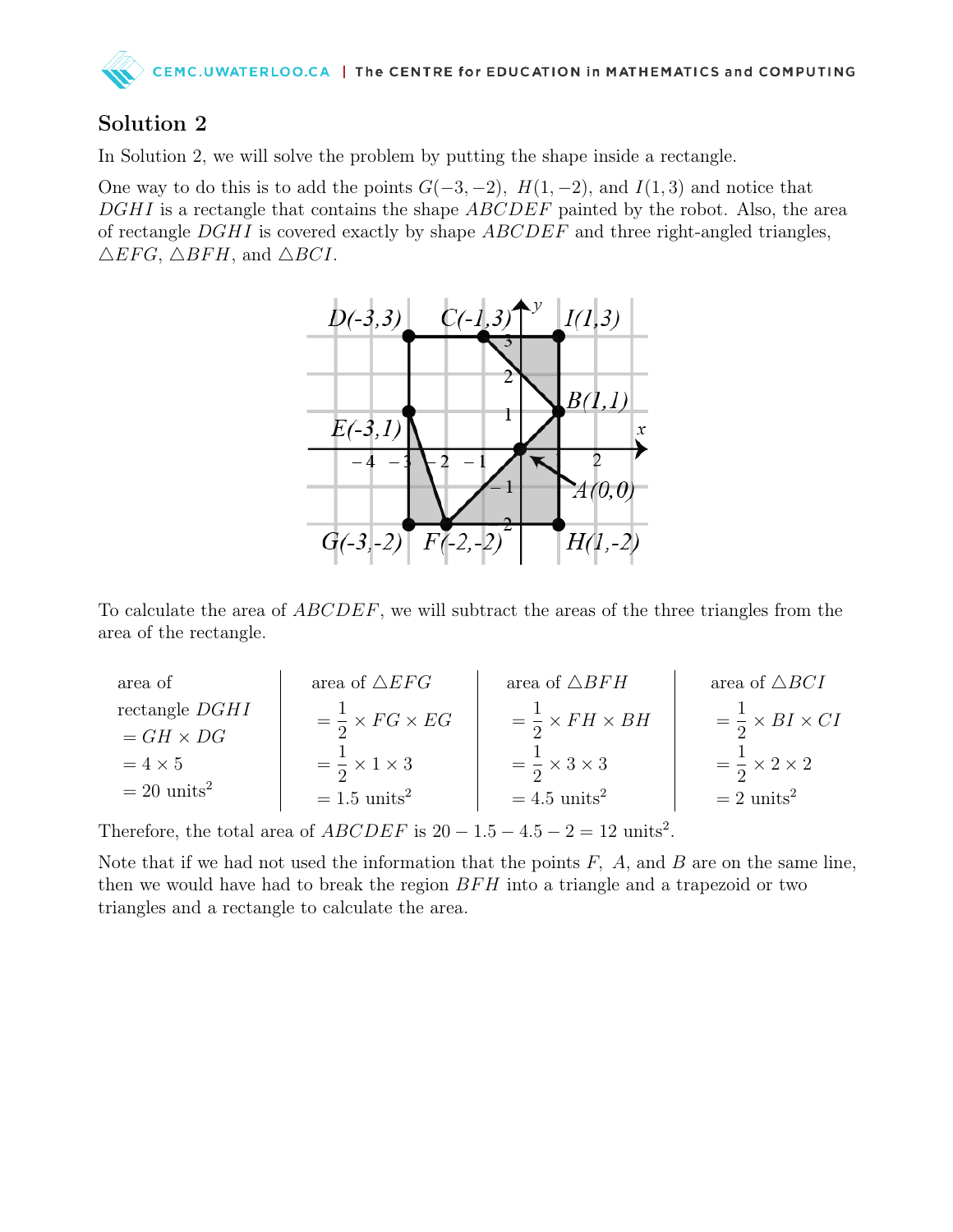

### Solution 2

In Solution 2, we will solve the problem by putting the shape inside a rectangle.

One way to do this is to add the points  $G(-3, -2)$ ,  $H(1, -2)$ , and  $I(1, 3)$  and notice that DGHI is a rectangle that contains the shape ABCDEF painted by the robot. Also, the area of rectangle  $DGHI$  is covered exactly by shape  $ABCDEF$  and three right-angled triangles,  $\triangle EFG$ ,  $\triangle BFH$ , and  $\triangle BCI$ .



To calculate the area of ABCDEF, we will subtract the areas of the three triangles from the area of the rectangle.

| area of                   | area of $\triangle EFG$          | area of $\triangle BFH$          | area of $\triangle BCI$            |
|---------------------------|----------------------------------|----------------------------------|------------------------------------|
| rectangle $DGHI$          | $=\frac{1}{2}\times FG\times EG$ | $=\frac{1}{2}\times FH\times BH$ | $=\frac{1}{2} \times BI \times CI$ |
| $= GH \times DG$          |                                  |                                  |                                    |
| $=4\times5$               | $=\frac{1}{2} \times 1 \times 3$ | $=\frac{1}{2} \times 3 \times 3$ | $=\frac{1}{2}\times 2\times 2$     |
| $= 20$ units <sup>2</sup> | $= 1.5$ units <sup>2</sup>       | $=4.5$ units <sup>2</sup>        | $= 2$ units <sup>2</sup>           |

Therefore, the total area of  $ABCDEF$  is  $20 - 1.5 - 4.5 - 2 = 12$  units<sup>2</sup>.

Note that if we had not used the information that the points  $F$ ,  $A$ , and  $B$  are on the same line, then we would have had to break the region  $BFH$  into a triangle and a trapezoid or two triangles and a rectangle to calculate the area.